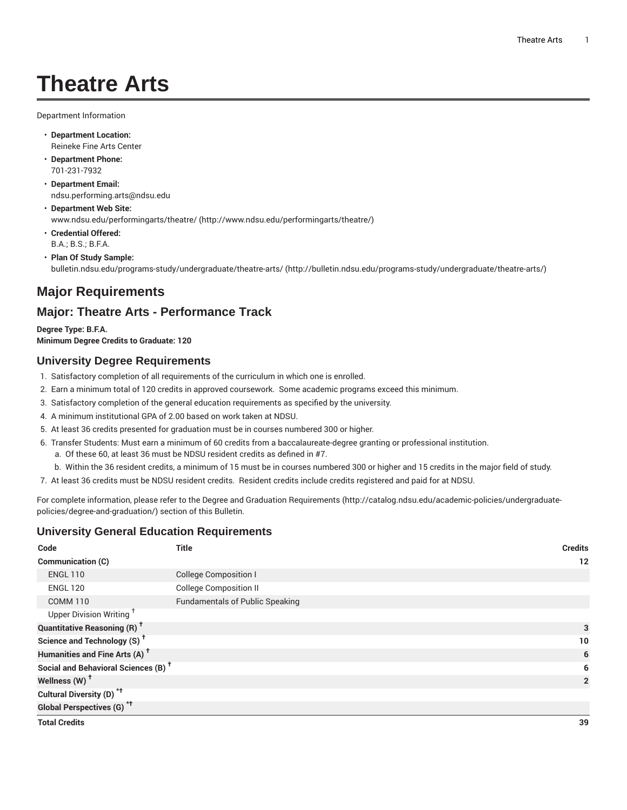# **Theatre Arts**

Department Information

- **Department Location:** Reineke Fine Arts Center
- **Department Phone:** 701-231-7932
- **Department Email:** [ndsu.performing.arts@ndsu.edu](mailto:ndsu.performing.arts@ndsu.edu)
- **Department Web Site:** [www.ndsu.edu/performingarts/theatre/](http://www.ndsu.edu/performingarts/theatre/) [\(http://www.ndsu.edu/performingarts/theatre/\)](http://www.ndsu.edu/performingarts/theatre/)
- **Credential Offered:** B.A.; B.S.; B.F.A.
- **Plan Of Study Sample:** [bulletin.ndsu.edu/programs-study/undergraduate/theatre-arts/ \(http://bulletin.ndsu.edu/programs-study/undergraduate/theatre-arts/](http://bulletin.ndsu.edu/programs-study/undergraduate/theatre-arts/))

## **Major Requirements**

### **Major: Theatre Arts - Performance Track**

**Degree Type: B.F.A. Minimum Degree Credits to Graduate: 120**

#### **University Degree Requirements**

- 1. Satisfactory completion of all requirements of the curriculum in which one is enrolled.
- 2. Earn a minimum total of 120 credits in approved coursework. Some academic programs exceed this minimum.
- 3. Satisfactory completion of the general education requirements as specified by the university.
- 4. A minimum institutional GPA of 2.00 based on work taken at NDSU.
- 5. At least 36 credits presented for graduation must be in courses numbered 300 or higher.
- 6. Transfer Students: Must earn a minimum of 60 credits from a baccalaureate-degree granting or professional institution.
	- a. Of these 60, at least 36 must be NDSU resident credits as defined in #7.
- b. Within the 36 resident credits, a minimum of 15 must be in courses numbered 300 or higher and 15 credits in the major field of study.
- 7. At least 36 credits must be NDSU resident credits. Resident credits include credits registered and paid for at NDSU.

For complete information, please refer to the Degree and Graduation [Requirements](http://catalog.ndsu.edu/academic-policies/undergraduate-policies/degree-and-graduation/) ([http://catalog.ndsu.edu/academic-policies/undergraduate](http://catalog.ndsu.edu/academic-policies/undergraduate-policies/degree-and-graduation/)[policies/degree-and-graduation/\)](http://catalog.ndsu.edu/academic-policies/undergraduate-policies/degree-and-graduation/) section of this Bulletin.

#### **University General Education Requirements**

| Code                                            | <b>Title</b>                           | <b>Credits</b> |
|-------------------------------------------------|----------------------------------------|----------------|
| Communication (C)                               |                                        | 12             |
| <b>ENGL 110</b>                                 | <b>College Composition I</b>           |                |
| <b>ENGL 120</b>                                 | <b>College Composition II</b>          |                |
| <b>COMM 110</b>                                 | <b>Fundamentals of Public Speaking</b> |                |
| Upper Division Writing <sup>+</sup>             |                                        |                |
| <b>Quantitative Reasoning (R)<sup>†</sup></b>   |                                        | 3              |
| Science and Technology (S) <sup>t</sup>         |                                        | 10             |
| Humanities and Fine Arts (A) <sup>+</sup>       |                                        | 6              |
| Social and Behavioral Sciences (B) <sup>+</sup> |                                        | 6              |
| Wellness (W) <sup>t</sup>                       |                                        | $\overline{2}$ |
| Cultural Diversity (D) <sup>*†</sup>            |                                        |                |
| <b>Global Perspectives (G)<sup>*†</sup></b>     |                                        |                |
| <b>Total Credits</b>                            |                                        | 39             |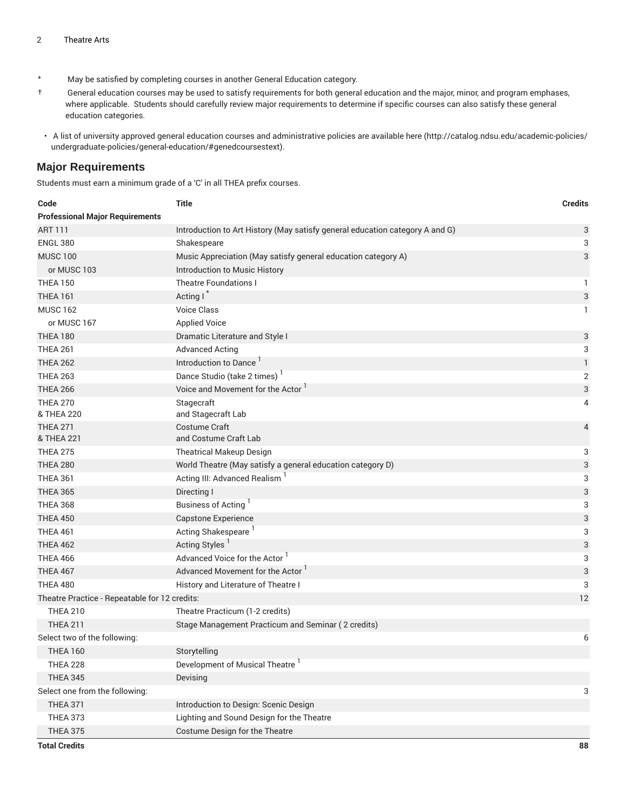- \* May be satisfied by completing courses in another General Education category.
- † General education courses may be used to satisfy requirements for both general education and the major, minor, and program emphases, where applicable. Students should carefully review major requirements to determine if specific courses can also satisfy these general education categories.
- A list of university approved general education courses and administrative policies are available [here](http://catalog.ndsu.edu/academic-policies/undergraduate-policies/general-education/#genedcoursestext) ([http://catalog.ndsu.edu/academic-policies/](http://catalog.ndsu.edu/academic-policies/undergraduate-policies/general-education/#genedcoursestext) [undergraduate-policies/general-education/#genedcoursestext](http://catalog.ndsu.edu/academic-policies/undergraduate-policies/general-education/#genedcoursestext)).

#### **Major Requirements**

Students must earn a minimum grade of a 'C' in all THEA prefix courses.

| Code                                          | <b>Title</b>                                                                 | <b>Credits</b>            |
|-----------------------------------------------|------------------------------------------------------------------------------|---------------------------|
| <b>Professional Major Requirements</b>        |                                                                              |                           |
| <b>ART 111</b>                                | Introduction to Art History (May satisfy general education category A and G) | 3                         |
| <b>ENGL 380</b>                               | Shakespeare                                                                  | 3                         |
| <b>MUSC 100</b>                               | Music Appreciation (May satisfy general education category A)                | $\sqrt{3}$                |
| or MUSC 103                                   | Introduction to Music History                                                |                           |
| <b>THEA 150</b>                               | <b>Theatre Foundations I</b>                                                 | 1                         |
| <b>THEA 161</b>                               | Acting I                                                                     | $\ensuremath{\mathsf{3}}$ |
| <b>MUSC 162</b>                               | <b>Voice Class</b>                                                           | 1                         |
| or MUSC 167                                   | <b>Applied Voice</b>                                                         |                           |
| <b>THEA 180</b>                               | Dramatic Literature and Style I                                              | 3                         |
| <b>THEA 261</b>                               | <b>Advanced Acting</b>                                                       | 3                         |
| <b>THEA 262</b>                               | Introduction to Dance <sup>1</sup>                                           | 1                         |
| <b>THEA 263</b>                               | Dance Studio (take 2 times)                                                  | $\mathbf{2}$              |
| <b>THEA 266</b>                               | Voice and Movement for the Actor '                                           | 3                         |
| <b>THEA 270</b>                               | Stagecraft                                                                   | 4                         |
| & THEA 220                                    | and Stagecraft Lab                                                           |                           |
| <b>THEA 271</b>                               | Costume Craft                                                                | 4                         |
| & THEA 221                                    | and Costume Craft Lab                                                        |                           |
| <b>THEA 275</b>                               | <b>Theatrical Makeup Design</b>                                              | 3                         |
| <b>THEA 280</b>                               | World Theatre (May satisfy a general education category D)                   | $\ensuremath{\mathsf{3}}$ |
| <b>THEA 361</b>                               | Acting III: Advanced Realism <sup>1</sup>                                    | 3                         |
| <b>THEA 365</b>                               | Directing I                                                                  | $\ensuremath{\mathsf{3}}$ |
| <b>THEA 368</b>                               | Business of Acting                                                           | 3                         |
| <b>THEA 450</b>                               | Capstone Experience                                                          | $\ensuremath{\mathsf{3}}$ |
| <b>THEA 461</b>                               | Acting Shakespeare                                                           | 3                         |
| <b>THEA 462</b>                               | Acting Styles <sup>1</sup>                                                   | 3                         |
| <b>THEA 466</b>                               | Advanced Voice for the Actor                                                 | 3                         |
| <b>THEA 467</b>                               | Advanced Movement for the Actor                                              | $\ensuremath{\mathsf{3}}$ |
| <b>THEA 480</b>                               | History and Literature of Theatre I                                          | 3                         |
| Theatre Practice - Repeatable for 12 credits: |                                                                              | 12                        |
| <b>THEA 210</b>                               | Theatre Practicum (1-2 credits)                                              |                           |
| <b>THEA 211</b>                               | Stage Management Practicum and Seminar (2 credits)                           |                           |
| Select two of the following:                  |                                                                              | 6                         |
| <b>THEA 160</b>                               | Storytelling                                                                 |                           |
| <b>THEA 228</b>                               | Development of Musical Theatre                                               |                           |
| <b>THEA 345</b>                               | Devising                                                                     |                           |
| Select one from the following:                |                                                                              | 3                         |
| <b>THEA 371</b>                               | Introduction to Design: Scenic Design                                        |                           |
| <b>THEA 373</b>                               | Lighting and Sound Design for the Theatre                                    |                           |
| <b>THEA 375</b>                               | Costume Design for the Theatre                                               |                           |
| <b>Total Credits</b>                          |                                                                              | 88                        |